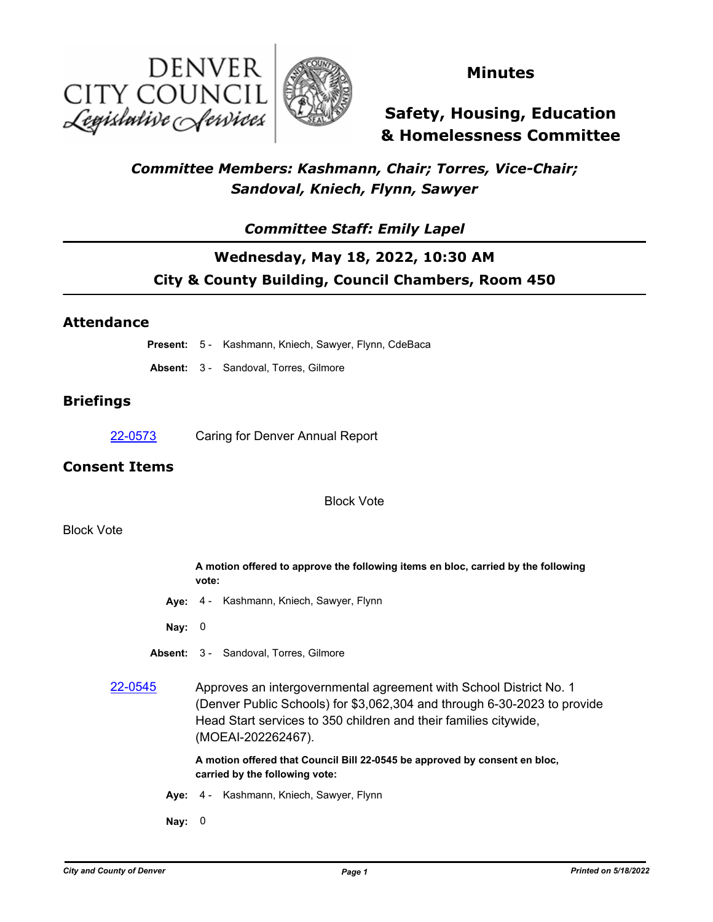



### **Minutes**

# **Safety, Housing, Education & Homelessness Committee**

### *Committee Members: Kashmann, Chair; Torres, Vice-Chair; Sandoval, Kniech, Flynn, Sawyer*

### *Committee Staff: Emily Lapel*

## **Wednesday, May 18, 2022, 10:30 AM City & County Building, Council Chambers, Room 450**

### **Attendance**

| <b>Present:</b> 5 - Kashmann, Kniech, Sawyer, Flynn, CdeBaca |  |  |  |  |  |  |  |
|--------------------------------------------------------------|--|--|--|--|--|--|--|
|--------------------------------------------------------------|--|--|--|--|--|--|--|

**Absent:** 3 - Sandoval, Torres, Gilmore

### **Briefings**

[22-0573](http://denver.legistar.com/gateway.aspx?m=l&id=/matter.aspx?key=21640) Caring for Denver Annual Report

### **Consent Items**

Block Vote

#### Block Vote

|          | A motion offered to approve the following items en bloc, carried by the following<br>vote:                                                                                                                                               |
|----------|------------------------------------------------------------------------------------------------------------------------------------------------------------------------------------------------------------------------------------------|
|          | Aye: 4 - Kashmann, Kniech, Sawyer, Flynn                                                                                                                                                                                                 |
| Nay: $0$ |                                                                                                                                                                                                                                          |
|          | <b>Absent: 3 - Sandoval, Torres, Gilmore</b>                                                                                                                                                                                             |
| 22-0545  | Approves an intergovernmental agreement with School District No. 1<br>(Denver Public Schools) for \$3,062,304 and through 6-30-2023 to provide<br>Head Start services to 350 children and their families citywide,<br>(MOEAI-202262467). |
|          | A motion offered that Council Bill 22-0545 be approved by consent en bloc,<br>carried by the following vote:                                                                                                                             |
|          | Aye: 4 - Kashmann, Kniech, Sawyer, Flynn                                                                                                                                                                                                 |
| Nay:     | 0                                                                                                                                                                                                                                        |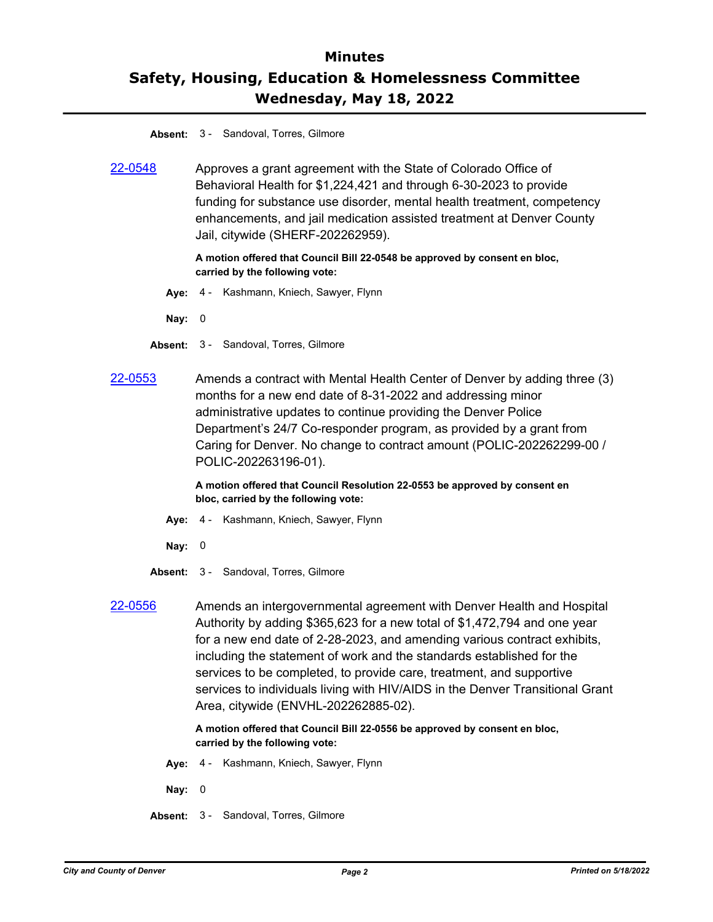## **Minutes Safety, Housing, Education & Homelessness Committee Wednesday, May 18, 2022**

#### **Absent:** 3 - Sandoval, Torres, Gilmore

[22-0548](http://denver.legistar.com/gateway.aspx?m=l&id=/matter.aspx?key=21615) Approves a grant agreement with the State of Colorado Office of Behavioral Health for \$1,224,421 and through 6-30-2023 to provide funding for substance use disorder, mental health treatment, competency enhancements, and jail medication assisted treatment at Denver County Jail, citywide (SHERF-202262959).

#### **A motion offered that Council Bill 22-0548 be approved by consent en bloc, carried by the following vote:**

**Aye:** 4 - Kashmann, Kniech, Sawyer, Flynn

**Nay:** 0

- **Absent:** 3 Sandoval, Torres, Gilmore
- [22-0553](http://denver.legistar.com/gateway.aspx?m=l&id=/matter.aspx?key=21620) Amends a contract with Mental Health Center of Denver by adding three (3) months for a new end date of 8-31-2022 and addressing minor administrative updates to continue providing the Denver Police Department's 24/7 Co-responder program, as provided by a grant from Caring for Denver. No change to contract amount (POLIC-202262299-00 / POLIC-202263196-01).

**A motion offered that Council Resolution 22-0553 be approved by consent en bloc, carried by the following vote:**

- **Aye:** 4 Kashmann, Kniech, Sawyer, Flynn
- **Nay:** 0
- **Absent:** 3 Sandoval, Torres, Gilmore
- [22-0556](http://denver.legistar.com/gateway.aspx?m=l&id=/matter.aspx?key=21623) Amends an intergovernmental agreement with Denver Health and Hospital Authority by adding \$365,623 for a new total of \$1,472,794 and one year for a new end date of 2-28-2023, and amending various contract exhibits, including the statement of work and the standards established for the services to be completed, to provide care, treatment, and supportive services to individuals living with HIV/AIDS in the Denver Transitional Grant Area, citywide (ENVHL-202262885-02).

**A motion offered that Council Bill 22-0556 be approved by consent en bloc, carried by the following vote:**

- **Aye:** 4 Kashmann, Kniech, Sawyer, Flynn
- **Nay:** 0
- **Absent:** 3 Sandoval, Torres, Gilmore